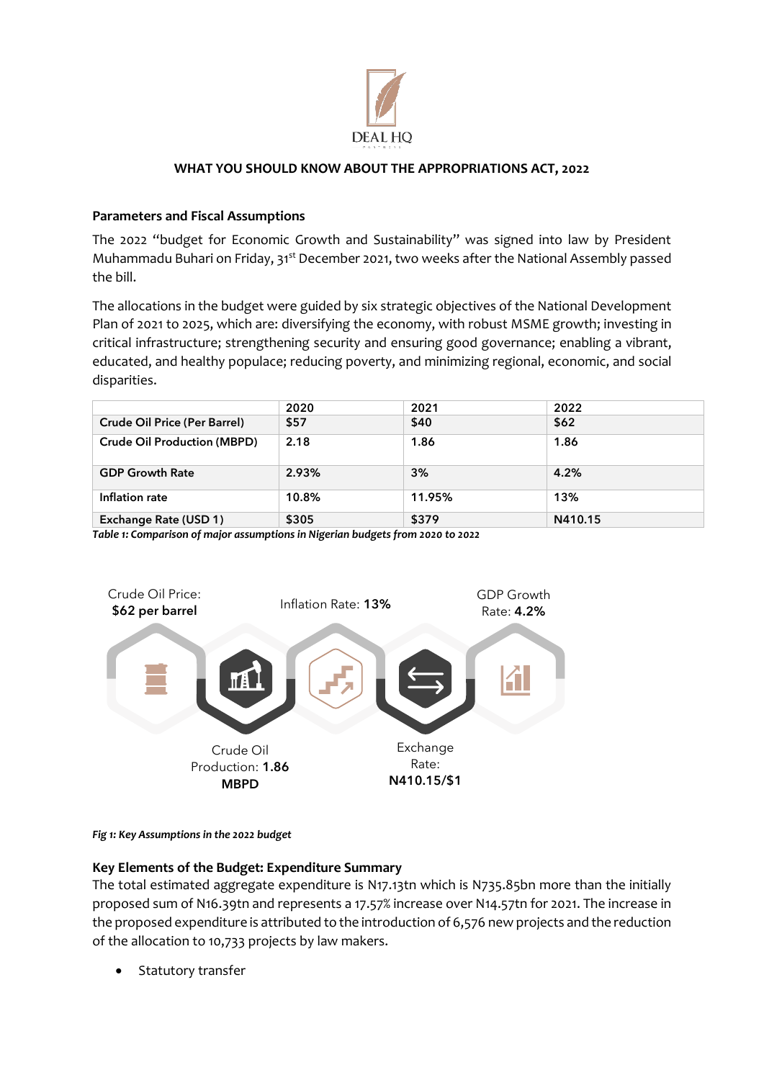

## **WHAT YOU SHOULD KNOW ABOUT THE APPROPRIATIONS ACT, 2022**

# **Parameters and Fiscal Assumptions**

The 2022 "budget for Economic Growth and Sustainability" was signed into law by President Muhammadu Buhari on Friday, 31<sup>st</sup> December 2021, two weeks after the National Assembly passed the bill.

The allocations in the budget were guided by six strategic objectives of the National Development Plan of 2021 to 2025, which are: diversifying the economy, with robust MSME growth; investing in critical infrastructure; strengthening security and ensuring good governance; enabling a vibrant, educated, and healthy populace; reducing poverty, and minimizing regional, economic, and social disparities.

|                                     | 2020  | 2021   | 2022    |  |
|-------------------------------------|-------|--------|---------|--|
| <b>Crude Oil Price (Per Barrel)</b> | \$57  | \$40   | \$62    |  |
| <b>Crude Oil Production (MBPD)</b>  | 2.18  | 1.86   | 1.86    |  |
| <b>GDP Growth Rate</b>              | 2.93% | 3%     | 4.2%    |  |
| Inflation rate                      | 10.8% | 11.95% | 13%     |  |
| Exchange Rate (USD 1)               | \$305 | \$379  | N410.15 |  |

*Table 1: Comparison of major assumptions in Nigerian budgets from 2020 to 2022*



*Fig 1: Key Assumptions in the 2022 budget*

## **Key Elements of the Budget: Expenditure Summary**

The total estimated aggregate expenditure is N17.13tn which is N735.85bn more than the initially proposed sum of N16.39tn and represents a 17.57% increase over N14.57tn for 2021. The increase in the proposed expenditure is attributed to the introduction of 6,576 new projects and the reduction of the allocation to 10,733 projects by law makers.

Statutory transfer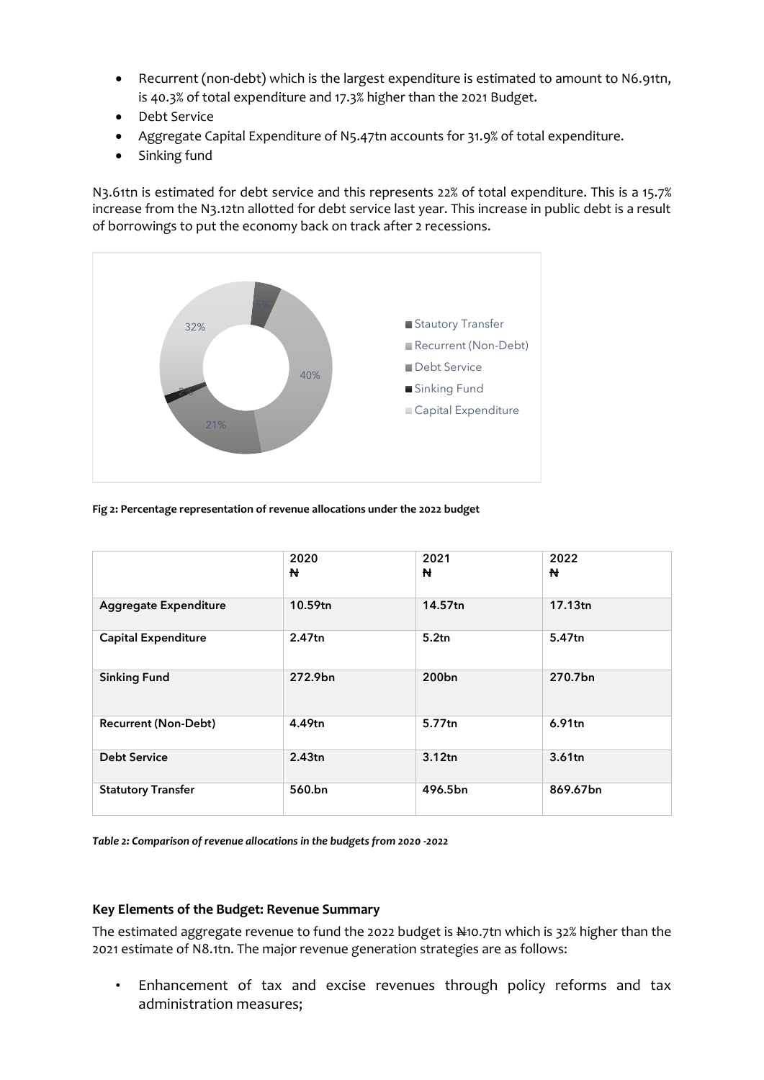- Recurrent (non-debt) which is the largest expenditure is estimated to amount to N6.91tn, is 40.3% of total expenditure and 17.3% higher than the 2021 Budget.
- Debt Service
- Aggregate Capital Expenditure of N5.47tn accounts for 31.9% of total expenditure.
- Sinking fund

N3.61tn is estimated for debt service and this represents 22% of total expenditure. This is a 15.7% increase from the N3.12tn allotted for debt service last year. This increase in public debt is a result of borrowings to put the economy back on track after 2 recessions.



**Fig 2: Percentage representation of revenue allocations under the 2022 budget**

|                              | 2020<br>N | 2021<br>N         | 2022<br>N          |
|------------------------------|-----------|-------------------|--------------------|
| <b>Aggregate Expenditure</b> | 10.59tn   | 14.57tn           | 17.13tn            |
| <b>Capital Expenditure</b>   | 2.47tn    | 5.2tn             | 5.47tn             |
| <b>Sinking Fund</b>          | 272.9bn   | 200 <sub>bn</sub> | 270.7bn            |
| <b>Recurrent (Non-Debt)</b>  | 4.49tn    | 5.77tn            | 6.91tn             |
| <b>Debt Service</b>          | 2.43tn    | 3.12tn            | 3.61 <sub>tn</sub> |
| <b>Statutory Transfer</b>    | 560.bn    | 496.5bn           | 869.67bn           |

*Table 2: Comparison of revenue allocations in the budgets from 2020 -2022*

#### **Key Elements of the Budget: Revenue Summary**

The estimated aggregate revenue to fund the 2022 budget is  $\frac{1}{2}$  10.7tn which is 32% higher than the 2021 estimate of N8.1tn. The major revenue generation strategies are as follows:

• Enhancement of tax and excise revenues through policy reforms and tax administration measures;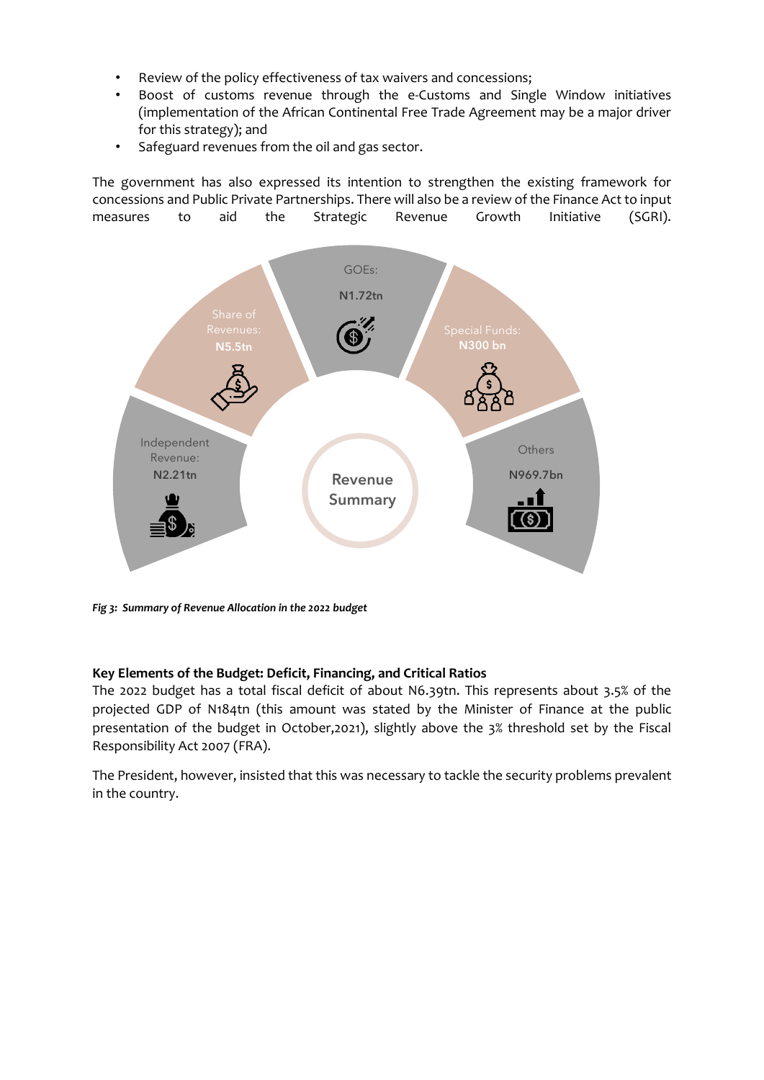- Review of the policy effectiveness of tax waivers and concessions;
- Boost of customs revenue through the e-Customs and Single Window initiatives (implementation of the African Continental Free Trade Agreement may be a major driver for this strategy); and
- Safeguard revenues from the oil and gas sector.

The government has also expressed its intention to strengthen the existing framework for concessions and Public Private Partnerships. There will also be a review of the Finance Act to input measures to aid the Strategic Revenue Growth Initiative (SGRI).



*Fig 3: Summary of Revenue Allocation in the 2022 budget*

#### **Key Elements of the Budget: Deficit, Financing, and Critical Ratios**

The 2022 budget has a total fiscal deficit of about N6.39tn. This represents about 3.5% of the projected GDP of N184tn (this amount was stated by the Minister of Finance at the public presentation of the budget in October,2021), slightly above the 3% threshold set by the Fiscal Responsibility Act 2007 (FRA).

The President, however, insisted that this was necessary to tackle the security problems prevalent in the country.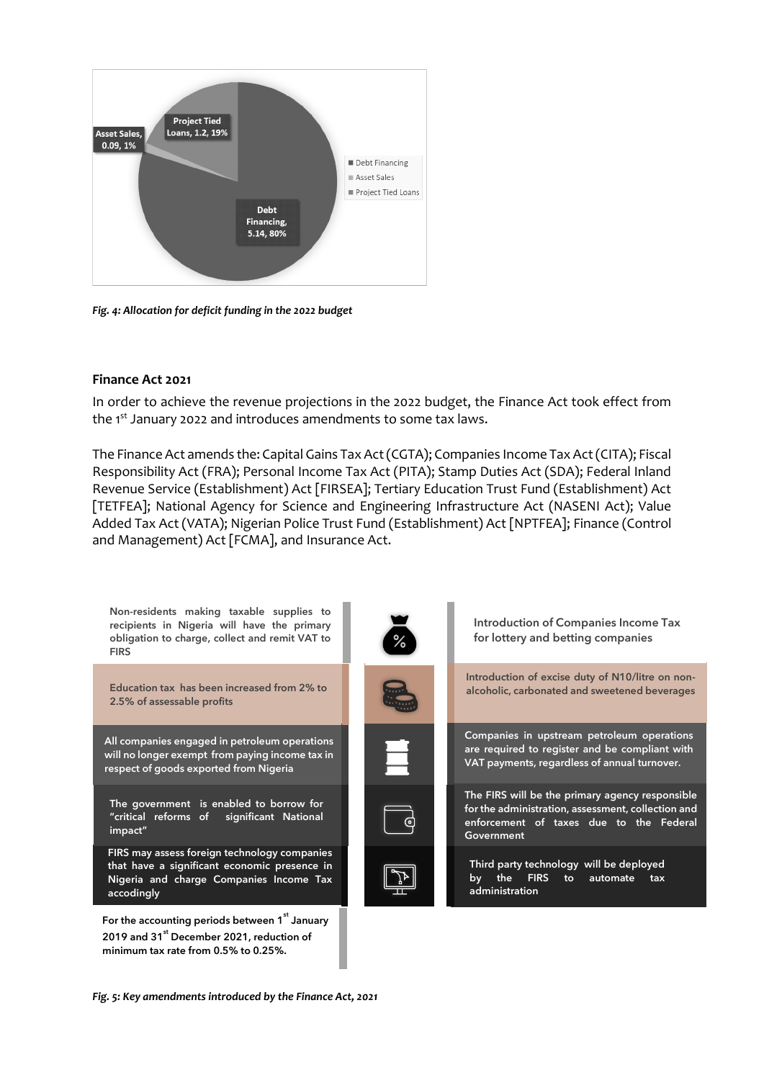

*Fig. 4: Allocation for deficit funding in the 2022 budget* 

### **Finance Act 2021**

In order to achieve the revenue projections in the 2022 budget, the Finance Act took effect from the 1<sup>st</sup> January 2022 and introduces amendments to some tax laws.

The Finance Act amends the: Capital Gains Tax Act (CGTA); Companies Income Tax Act (CITA); Fiscal Responsibility Act (FRA); Personal Income Tax Act (PITA); Stamp Duties Act (SDA); Federal Inland Revenue Service (Establishment) Act [FIRSEA]; Tertiary Education Trust Fund (Establishment) Act [TETFEA]; National Agency for Science and Engineering Infrastructure Act (NASENI Act); Value Added Tax Act (VATA); Nigerian Police Trust Fund (Establishment) Act [NPTFEA]; Finance (Control and Management) Act [FCMA], and Insurance Act.